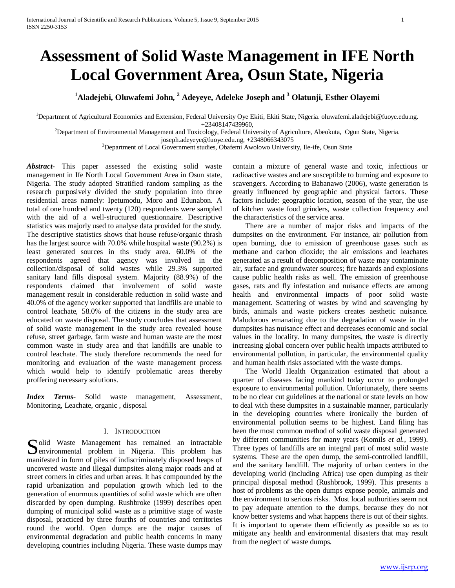# **Assessment of Solid Waste Management in IFE North Local Government Area, Osun State, Nigeria**

**1 Aladejebi, Oluwafemi John, <sup>2</sup> Adeyeye, Adeleke Joseph and <sup>3</sup> Olatunji, Esther Olayemi** 

<sup>1</sup>Department of Agricultural Economics and Extension, Federal University Oye Ekiti, Ekiti State, Nigeria. oluwafemi.aladejebi@fuoye.edu.ng.

+23408147439960, <sup>2</sup> Department of Environmental Management and Toxicology, Federal University of Agriculture, Abeokuta, Ogun State, Nigeria.

joseph.adeyeye@fuoye.edu.ng, +2348066343075

<sup>3</sup>Department of Local Government studies, Obafemi Awolowo University, Ile-ife, Osun State

*Abstract***-** This paper assessed the existing solid waste management in Ife North Local Government Area in Osun state, Nigeria. The study adopted Stratified random sampling as the research purposively divided the study population into three residential areas namely: Ipetumodu, Moro and Edunabon. A total of one hundred and twenty (120) respondents were sampled with the aid of a well-structured questionnaire. Descriptive statistics was majorly used to analyse data provided for the study. The descriptive statistics shows that house refuse/organic thrash has the largest source with 70.0% while hospital waste (90.2%) is least generated sources in ths study area. 60.0% of the respondents agreed that agency was involved in the collection/disposal of solid wastes while 29.3% supported sanitary land fills disposal system. Majority (88.9%) of the respondents claimed that involvement of solid waste management result in considerable reduction in solid waste and 40.0% of the agency worker supported that landfills are unable to control leachate, 58.0% of the citizens in the study area are educated on waste disposal. The study concludes that assessment of solid waste management in the study area revealed house refuse, street garbage, farm waste and human waste are the most common waste in study area and that landfills are unable to control leachate. The study therefore recommends the need for monitoring and evaluation of the waste management process which would help to identify problematic areas thereby proffering necessary solutions.

*Index Terms*- Solid waste management, Assessment, Monitoring, Leachate, organic , disposal

#### I. INTRODUCTION

olid Waste Management has remained an intractable Solid Waste Management has remained an intractable<br>
Senvironmental problem in Nigeria. This problem has manifested in form of piles of indiscriminately disposed heaps of uncovered waste and illegal dumpsites along major roads and at street corners in cities and urban areas. It has compounded by the rapid urbanization and population growth which led to the generation of enormous quantities of solid waste which are often discarded by open dumping. Rushbroke (1999) describes open dumping of municipal solid waste as a primitive stage of waste disposal, practiced by three fourths of countries and territories round the world. Open dumps are the major causes of environmental degradation and public health concerns in many developing countries including Nigeria. These waste dumps may

contain a mixture of general waste and toxic, infectious or radioactive wastes and are susceptible to burning and exposure to scavengers. According to Babanawo (2006), waste generation is greatly influenced by geographic and physical factors. These factors include: geographic location, season of the year, the use of kitchen waste food grinders, waste collection frequency and the characteristics of the service area.

 There are a number of major risks and impacts of the dumpsites on the environment. For instance, air pollution from open burning, due to emission of greenhouse gases such as methane and carbon dioxide; the air emissions and leachates generated as a result of decomposition of waste may contaminate air, surface and groundwater sources; fire hazards and explosions cause public health risks as well. The emission of greenhouse gases, rats and fly infestation and nuisance effects are among health and environmental impacts of poor solid waste management. Scattering of wastes by wind and scavenging by birds, animals and waste pickers creates aesthetic nuisance. Malodorous emanating due to the degradation of waste in the dumpsites has nuisance effect and decreases economic and social values in the locality. In many dumpsites, the waste is directly increasing global concern over public health impacts attributed to environmental pollution, in particular, the environmental quality and human health risks associated with the waste dumps.

 The World Health Organization estimated that about a quarter of diseases facing mankind today occur to prolonged exposure to environmental pollution. Unfortunately, there seems to be no clear cut guidelines at the national or state levels on how to deal with these dumpsites in a sustainable manner, particularly in the developing countries where ironically the burden of environmental pollution seems to be highest. Land filing has been the most common method of solid waste disposal generated by different communities for many years (Komils *et al.,* 1999). Three types of landfills are an integral part of most solid waste systems. These are the open dump, the semi-controlled landfill, and the sanitary landfill. The majority of urban centers in the developing world (including Africa) use open dumping as their principal disposal method (Rushbrook, 1999). This presents a host of problems as the open dumps expose people, animals and the environment to serious risks. Most local authorities seem not to pay adequate attention to the dumps, because they do not know better systems and what happens there is out of their sights. It is important to operate them efficiently as possible so as to mitigate any health and environmental disasters that may result from the neglect of waste dumps.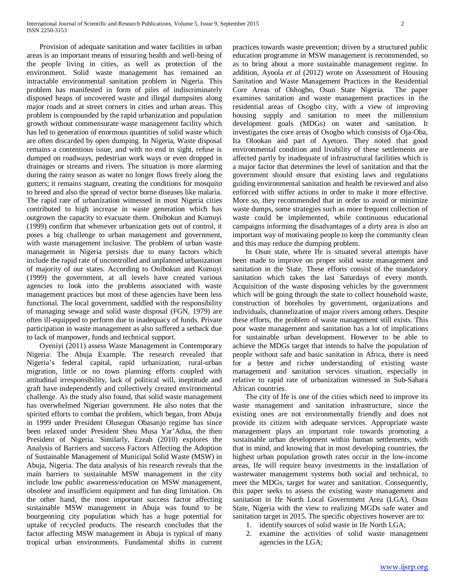Provision of adequate sanitation and water facilities in urban areas is an important means of ensuring health and well-being of the people living in cities, as well as protection of the environment. Solid waste management has remained an intractable environmental sanitation problem in Nigeria. This problem has manifested in form of piles of indiscriminately disposed heaps of uncovered waste and illegal dumpsites along major roads and at street corners in cities and urban areas. This problem is compounded by the rapid urbanization and population growth without commensurate waste management facility which has led to generation of enormous quantities of solid waste which are often discarded by open dumping. In Nigeria, Waste disposal remains a contentious issue, and with no end in sight, refuse is dumped on roadways, pedestrian work ways or even dropped in drainages or streams and rivers. The situation is more alarming during the rainy season as water no longer flows freely along the gutters; it remains stagnant, creating the conditions for mosquito to breed and also the spread of vector borne diseases like malaria. The rapid rate of urbanization witnessed in most Nigeria cities contributed to high increase in waste generation which has outgrown the capacity to evacuate them. Onibokun and Kumuyi (1999) confirm that whenever urbanization gets out of control, it poses a big challenge to urban management and government, with waste management inclusive. The problem of urban waste management in Nigeria persists due to many factors which include the rapid rate of uncontrolled and unplanned urbanization of majority of our states. According to Onibokun and Kumuyi (1999) the government, at all levels have created various agencies to look into the problems associated with waste management practices but most of these agencies have been less functional. The local government, saddled with the responsibility of managing sewage and solid waste disposal (FGN, 1979) are often ill-equipped to perform due to inadequacy of funds. Private participation in waste management as also suffered a setback due to lack of manpower, funds and technical support.

 Oyeniyi (2011) assess Waste Management in Contemporary Nigeria: The Abuja Example. The research revealed that Nigeria's federal capital, rapid urbanization, rural-urban migration, little or no town planning efforts coupled with attitudinal irresponsibility, lack of political will, ineptitude and graft have independently and collectively created environmental challenge. As the study also found, that solid waste management has overwhelmed Nigerian government. He also notes that the spirited efforts to combat the problem, which began, from Abuja in 1999 under President Olusegun Obasanjo regime has since been relaxed under President Sheu Musa Yar'Adua, the then President of Nigeria. Similarly, Ezeah (2010) explores the Analysis of Barriers and success Factors Affecting the Adoption of Sustainable Management of Municipal Solid Waste (MSW) in Abuja, Nigeria. The data analysis of his research reveals that the main barriers to sustainable MSW management in the city include low public awareness/education on MSW management, obsolete and insufficient equipment and fun ding limitation. On the other hand, the most important success factor affecting sustainable MSW management in Abuja was found to be bourgeoning city population which has a huge potential for uptake of recycled products. The research concludes that the factor affecting MSW management in Abuja is typical of many tropical urban environments. Fundamental shifts in current practices towards waste prevention; driven by a structured public education programme in MSW management is recommended, so as to bring about a more sustainable management regime. In addition, Ayoola *et al* (2012) wrote on Assessment of Housing Sanitation and Waste Management Practices in the Residential Core Areas of Oshogbo, Osun State Nigeria. The paper examines sanitation and waste management practices in the residential areas of Osogbo city, with a view of improving housing supply and sanitation to meet the millennium development goals (MDGs) on water and sanitation. It investigates the core areas of Osogbo which consists of Oja-Oba, Ita Olookan and part of Ayetoro. They noted that good environmental condition and livability of these settlements are affected partly by inadequate of infrastructural facilities which is a major factor that determines the level of sanitation and that the government should ensure that existing laws and regulations guiding environmental sanitation and health be reviewed and also enforced with stiffer actions in order to make it more effective. More so, they recommended that in order to avoid or minimize waste dumps, some strategies such as more frequent collection of waste could be implemented, while continuous educational campaigns informing the disadvantages of a dirty area is also an important way of motivating people to keep the community clean and this may reduce the dumping problem.

 In Osun state, where Ife is situated several attempts have been made to improve on proper solid waste management and sanitation in the State. These efforts consist of the mandatory sanitation which takes the last Saturdays of every month. Acquisition of the waste disposing vehicles by the government which will be going through the state to collect household waste, construction of boreholes by government, organizations and individuals, channelization of major rivers among others. Despite these efforts, the problem of waste management still exists. This poor waste management and sanitation has a lot of implications for sustainable urban development. However to be able to achieve the MDGs target that intends to halve the population of people without safe and basic sanitation in Africa, there is need for a better and richer understanding of existing waste management and sanitation services situation, especially in relative to rapid rate of urbanization witnessed in Sub-Sahara African countries.

 The city of Ife is one of the cities which need to improve its waste management and sanitation infrastructure, since the existing ones are not environmentally friendly and does not provide its citizen with adequate services. Appropriate waste management plays an important role towards promoting a sustainable urban development within human settlements, with that in mind, and knowing that in most developing countries, the highest urban population growth rates occur in the low-income areas, Ife will require heavy investments in the installation of wastewater management systems both social and technical, to meet the MDGs, target for water and sanitation. Consequently, this paper seeks to assess the existing waste management and sanitation in Ife North Local Government Area (LGA), Osun State, Nigeria with the view to realizing MGDs safe water and sanitation target in 2015. The specific objectives however are to:

- 1. identify sources of solid waste in Ife North LGA;
- 2. examine the activities of solid waste management agencies in the LGA;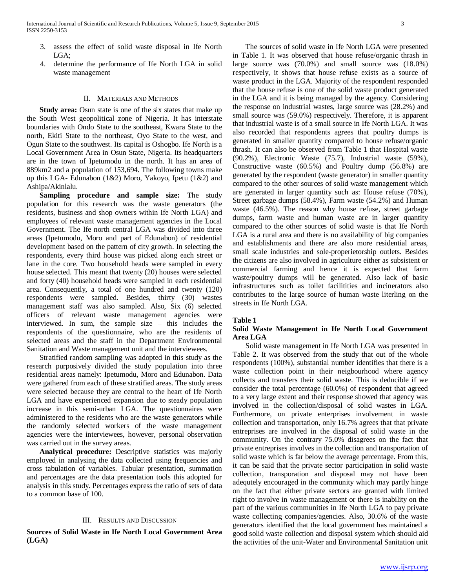- 3. assess the effect of solid waste disposal in Ife North LGA;
- 4. determine the performance of Ife North LGA in solid waste management

#### II. MATERIALS AND METHODS

 **Study area:** Osun state is one of the six states that make up the South West geopolitical zone of Nigeria. It has interstate boundaries with Ondo State to the southeast, Kwara State to the north, Ekiti State to the northeast, Oyo State to the west, and Ogun State to the southwest. Its capital is Oshogbo. Ife North is a Local Government Area in Osun State, Nigeria. Its headquarters are in the town of Ipetumodu in the north. It has an area of 889km2 and a population of 153,694. The following towns make up this LGA- Edunabon (1&2) Moro, Yakoyo, Ipetu (1&2) and Ashipa/Akinlalu.

 **Sampling procedure and sample size:** The study population for this research was the waste generators (the residents, business and shop owners within Ife North LGA) and employees of relevant waste management agencies in the Local Government. The Ife north central LGA was divided into three areas (Ipetumodu, Moro and part of Edunabon) of residential development based on the pattern of city growth. In selecting the respondents, every third house was picked along each street or lane in the core. Two household heads were sampled in every house selected. This meant that twenty (20) houses were selected and forty (40) household heads were sampled in each residential area. Consequently, a total of one hundred and twenty (120) respondents were sampled. Besides, thirty (30) wastes management staff was also sampled. Also, Six (6) selected officers of relevant waste management agencies were interviewed. In sum, the sample size – this includes the respondents of the questionnaire, who are the residents of selected areas and the staff in the Department Environmental Sanitation and Waste management unit and the interviewees.

 Stratified random sampling was adopted in this study as the research purposively divided the study population into three residential areas namely: Ipetumodu, Moro and Edunabon. Data were gathered from each of these stratified areas. The study areas were selected because they are central to the heart of Ife North LGA and have experienced expansion due to steady population increase in this semi-urban LGA. The questionnaires were administered to the residents who are the waste generators while the randomly selected workers of the waste management agencies were the interviewees, however, personal observation was carried out in the survey areas.

 **Analytical procedure:** Descriptive statistics was majorly employed in analysing the data collected using frequencies and cross tabulation of variables. Tabular presentation, summation and percentages are the data presentation tools this adopted for analysis in this study. Percentages express the ratio of sets of data to a common base of 100.

#### III. RESULTS AND DISCUSSION

**Sources of Solid Waste in Ife North Local Government Area (LGA)**

 The sources of solid waste in Ife North LGA were presented in Table 1. It was observed that house refuse/organic thrash in large source was (70.0%) and small source was (18.0%) respectively, it shows that house refuse exists as a source of waste product in the LGA. Majority of the respondent responded that the house refuse is one of the solid waste product generated in the LGA and it is being managed by the agency. Considering the response on industrial wastes, large source was (28.2%) and small source was (59.0%) respectively. Therefore, it is apparent that industrial waste is of a small source in Ife North LGA. It was also recorded that respondents agrees that poultry dumps is generated in smaller quantity compared to house refuse/organic thrash. It can also be observed from Table 1 that Hospital waste (90.2%), Electronic Waste (75.7), Industrial waste (59%), Constructive waste (60.5%) and Poultry dump (56.8%) are generated by the respondent (waste generator) in smaller quantity compared to the other sources of solid waste management which are generated in larger quantity such as: House refuse (70%), Street garbage dumps (58.4%), Farm waste (54.2%) and Human waste (46.5%). The reason why house refuse, street garbage dumps, farm waste and human waste are in larger quantity compared to the other sources of solid waste is that Ife North LGA is a rural area and there is no availability of big companies and establishments and there are also more residential areas, small scale industries and sole-properietorship outlets. Besides the citizens are also involved in agriculture either as subsistent or commercial farming and hence it is expected that farm waste/poultry dumps will be generated**.** Also lack of basic infrastructures such as toilet facilitities and incinerators also contributes to the large source of human waste literling on the streets in Ife North LGA.

#### **Table 1**

### **Solid Waste Management in Ife North Local Government Area LGA**

 Solid waste management in Ife North LGA was presented in Table 2. It was observed from the study that out of the whole respondents (100%), substantial number identifies that there is a waste collection point in their neigbourhood where agency collects and transfers their solid waste. This is deducible if we consider the total percentage (60.0%) of respondent that agreed to a very large extent and their response showed that agency was involved in the collection/disposal of solid wastes in LGA. Furthermore, on private enterprises involvement in waste collection and transportation, only 16.7% agrees that that private entreprises are involved in the disposal of solid waste in the community. On the contrary 75.0% disagrees on the fact that private entreprises involves in the collection and transportation of solid waste which is far below the average percentage. From this, it can be said that the private sector participation in solid waste collection, transporation and disposal may not have been adequtely encouraged in the community which may partly hinge on the fact that either private sectors are granted with limited right to involve in waste management or there is inability on the part of the various communities in Ife North LGA to pay private waste collecting companies/agencies. Also, 30.6% of the waste generators identified that the local government has maintained a good solid waste collection and disposal system which should aid the activities of the unit-Water and Environmental Sanitation unit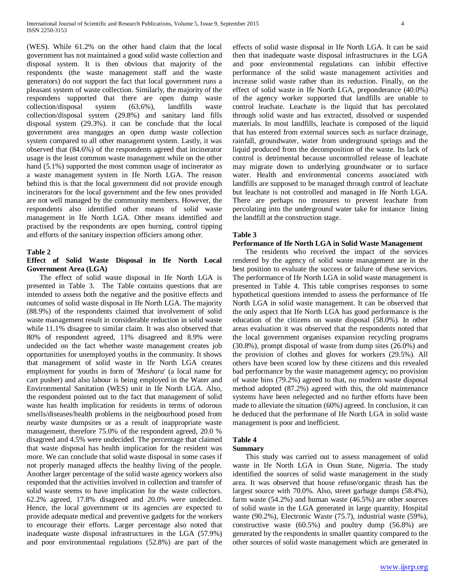(WES). While 61.2% on the other hand claim that the local government has not maintained a good solid waste collection and disposal system. It is then obvious that majority of the respondents (the waste management staff and the waste generators) do not support the fact that local government runs a pleasant system of waste collection. Similarly, the majority of the respondens supported that there are open dump waste collection/disposal system (63.6%), landfills waste collection/disposal system (29.8%) and sanitary land fills disposal system (29.3%). it can be conclude that the local government area mangages an open dump waste collection system compared to all other management system. Lastly, it was observed that (84.6%) of the respondents agreed that incinerator usage is the least common waste management while on the other hand  $(5.1\%)$  supported the most common usage of incinerator as a waste management system in Ife North LGA. The reason behind this is that the local government did not provide enough incinerators for the local government and the few ones provided are not well managed by the community members. However, the respondents also identified other means of solid waste management in Ife North LGA. Other means identified and practised by the respondents are open burning, control tipping and efforts of the sanitary inspection officiers among other.

#### **Table 2**

# **Effect of Solid Waste Disposal in Ife North Local Government Area (LGA)**

 The effect of solid waste disposal in Ife North LGA is presented in Table 3. The Table contains questions that are intended to assess both the negative and the positive effects and outcomes of solid waste disposal in Ife North LGA. The majority (88.9%) of the respondents claimed that involvement of solid waste management result in considerable reduction in solid waste while 11.1% disagree to similar claim. It was also observed that 80% of respondent agreed, 11% disagreed and 8.9% were undecided on the fact whether waste management creates job opportunities for unemployed youths in the community. It shows that management of solid waste in Ife North LGA creates employment for youths in form of *'Meshara*' (a local name for cart pusher) and also labour is being employed in the Water and Environmental Sanitation (WES) unit in Ife North LGA. Also, the respondent pointed out to the fact that management of solid waste has health implication for residents in terms of odorous smells/diseases/health problems in the neigbourhood posed from nearby waste dumpsites or as a result of inappropriate waste management, therefore 75.0% of the respondent agreed, 20.0 % disagreed and 4.5% were undecided. The percentage that claimed that waste disposal has health implication for the resident was more. We can conclude that solid waste disposal in some cases if not properly managed affects the healthy living of the people. Another larger percentage of the solid waste agency workers also responded that the activities involved in collection and transfer of solid waste seems to have implication for the waste collectors. 62.2% agreed, 17.8% disagreed and 20.0% were undecided. Hence, the local government or its agencies are expected to provide adequate medical and preventive gadgets for the workers to encourage their efforts. Larger percentage also noted that inadequate waste disposal infrastructures in the LGA (57.9%) and poor environmentaal regulations (52.8%) are part of the effects of solid waste disposal in Ife North LGA. It can be said then that inadequate waste disposal infrastructures in the LGA and poor environmental regulations can inhibit effective performance of the solid waste management activities and increase solid waste rather than its reduction. Finally, on the effect of solid waste in Ife North LGA, preponderance (40.0%) of the agency worker supported that landfills are unable to control leachate. Leachate is the liquid that has percolated through solid waste and has extracted, dissolved or suspended materials. In most landfills, leachate is composed of the liquid that has entered from external sources such as surface drainage, rainfall, groundwater, water from underground springs and the liquid produced from the decomposition of the waste. Its lack of control is detrimental because uncontrolled release of leachate may migrate down to underlying groundwater or to surface water. Health and environmental concerns associated with landfills are supposed to be managed through control of leachate but leachate is not controlled and managed in Ife North LGA. There are perhaps no measures to prevent leachate from percolating into the underground water take for instance lining the landfill at the construction stage.

#### **Table 3**

#### **Performance of Ife North LGA in Solid Waste Management**

 The residents who received the impact of the services rendered by the agency of solid waste management are in the best position to evaluate the success or failure of these services. The performance of Ife North LGA in solid waste management is presented in Table 4. This table comprises responses to some hypothetical questions intended to assess the performance of Ife North LGA in solid waste management. It can be observed that the only aspect that Ife North LGA has good performance is the education of the citizens on waste disposal (58.0%). In other areas evaluation it was observed that the respondents noted that the local government organises expansion recycling programs (30.8%), prompt disposal of waste from dump sites (26.0%) and the provision of clothes and gloves for workers (29.5%). All others have been scored low by these citizens and this revealed bad performance by the waste management agency; no provision of waste bins (79.2%) agreed to that, no modern waste disposal method adopted (87.2%) agreed with this, the old maintenance systems have been nelegected and no further efforts have been made to alleviate the situation (60%) agreed. In conclusion, it can be deduced that the performane of Ife North LGA in solid waste management is poor and inefficient.

# **Table 4**

## **Summary**

 This study was carried out to assess management of solid waste in Ife North LGA in Osun State, Nigeria. The study identified the sources of solid waste management in the study area. It was observed that house refuse/organic thrash has the largest source with 70.0%. Also, street garbage dumps (58.4%), farm waste (54.2%) and human waste (46.5%) are other sources of solid waste in the LGA generated in large quantity. Hospital waste (90.2%), Electronic Waste (75.7), industrial waste (59%), constructive waste (60.5%) and poultry dump (56.8%) are generated by the respondents in smaller quantity compared to the other sources of solid waste management which are generated in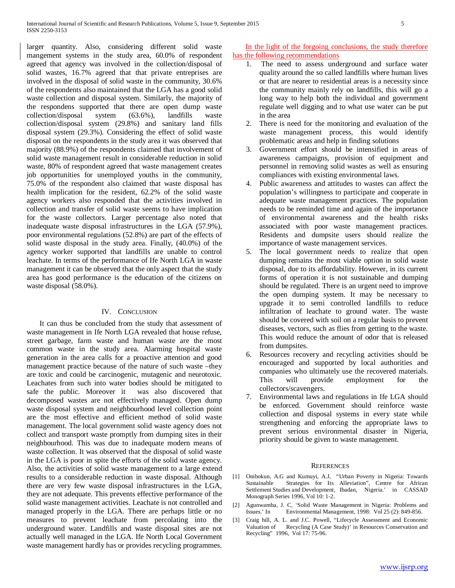larger quantity. Also, considering different solid waste mangement systems in the study area, 60.0% of respondent agreed that agency was involved in the collection/disposal of solid wastes, 16.7% agreed that that private entreprises are involved in the disposal of solid waste in the community, 30.6% of the respondents also maintained that the LGA has a good solid waste collection and disposal system. Similarly, the majority of the respondens supported that there are open dump waste collection/disposal system (63.6%), landfills waste collection/disposal system (29.8%) and sanitary land fills disposal system (29.3%). Considering the effect of solid waste disposal on the respondents in the study area it was observed that majority (88.9%) of the respondents claimed that involvement of solid waste management result in considerable reduction in solid waste, 80% of respondent agreed that waste management creates job opportunities for unemployed youths in the community, 75.0% of the respondent also claimed that waste disposal has health implication for the resident, 62.2% of the solid waste agency workers also responded that the activities involved in collection and transfer of solid waste seems to have implication for the waste collectors. Larger percentage also noted that inadequate waste disposal infrastructures in the LGA (57.9%), poor environmental regulations (52.8%) are part of the effects of solid waste disposal in the study area. Finally, (40.0%) of the agency worker supported that landfills are unable to control leachate. In terms of the performance of Ife North LGA in waste management it can be observed that the only aspect that the study area has good performance is the education of the citizens on waste disposal (58.0%).

# IV. CONCLUSION

 It can thus be concluded from the study that assessment of waste management in Ife North LGA revealed that house refuse, street garbage, farm waste and human waste are the most common waste in the study area. Alarming hospital waste generation in the area calls for a proactive attention and good management practice because of the nature of such waste –they are toxic and could be carcinogenic, mutagenic and neurotoxic. Leachates from such into water bodies should be mitigated to safe the public. Moreover it was also discovered that decomposed wastes are not effectively managed. Open dump waste disposal system and neighbourhood level collection point are the most effective and efficient method of solid waste management. The local government solid waste agency does not collect and transport waste promptly from dumping sites in their neighbourhood. This was due to inadequate modern means of waste collection. It was observed that the disposal of solid waste in the LGA is poor in spite the efforts of the solid waste agency. Also, the activities of solid waste management to a large extend results to a considerable reduction in waste disposal. Although there are very few waste disposal infrastructures in the LGA, they are not adequate. This prevents effective performance of the solid waste management activities. Leachate is not controlled and managed properly in the LGA. There are perhaps little or no measures to prevent leachate from percolating into the underground water. Landfills and waste disposal sites are not actually well managed in the LGA. Ife North Local Government waste management hardly has or provides recycling programmes.

 In the light of the forgoing conclusions, the study therefore has the following recommendations

- 1. The need to assess underground and surface water quality around the so called landfills where human lives or that are nearer to residential areas is a necessity since the community mainly rely on landfills, this will go a long way to help both the individual and government regulate well digging and to what use water can be put in the area
- 2. There is need for the monitoring and evaluation of the waste management process, this would identify problematic areas and help in finding solutions
- 3. Government effort should be intensified in areas of awareness campaigns, provision of equipment and personnel in removing solid wastes as well as ensuring compliances with existing environmental laws.
- 4. Public awareness and attitudes to wastes can affect the population's willingness to participate and cooperate in adequate waste management practices. The population needs to be reminded time and again of the importance of environmental awareness and the health risks associated with poor waste management practices. Residents and dumpsite users should realize the importance of waste management services.
- 5. The local government needs to realize that open dumping remains the most viable option in solid waste disposal, due to its affordability. However, in its current forms of operation it is not sustainable and dumping should be regulated. There is an urgent need to improve the open dumping system. It may be necessary to upgrade it to semi controlled landfills to reduce infiltration of leachate to ground water. The waste should be covered with soil on a regular basis to prevent diseases, vectors, such as flies from getting to the waste. This would reduce the amount of odor that is released from dumpsites.
- Resources recovery and recycling activities should be encouraged and supported by local authorities and companies who ultimately use the recovered materials. This will provide employment for the collectors/scavengers.
- 7. Environmental laws and regulations in Ife LGA should be enforced. Government should reinforce waste collection and disposal systems in every state while strengthening and enforcing the appropriate laws to prevent serious environmental disaster in Nigeria, priority should be given to waste management.

#### **REFERENCES**

- [1] Onibokun, A.G and Kumuyi, A.J, "Urban Poverty in Nigeria: Towards Sustainable Strategies for Its Alleviation", Centre for African Settlement Studies and Development, Ibadan, Nigeria.' in CASSAD Monograph Series 1996, Vol 10: 1-2.
- [2] Agunwamba, J. C, 'Solid Waste Management in Nigeria: Problems and Issues.' In Environmental Management, 1998: Vol 25 (2): 849-856.
- [3] Craig hill, A. L. and J.C. Powell, "Lifecycle Assessment and Economic Valuation of Recycling (A Case Study)' in Resources Conservation and Recycling" 1996, Vol 17: 75-96.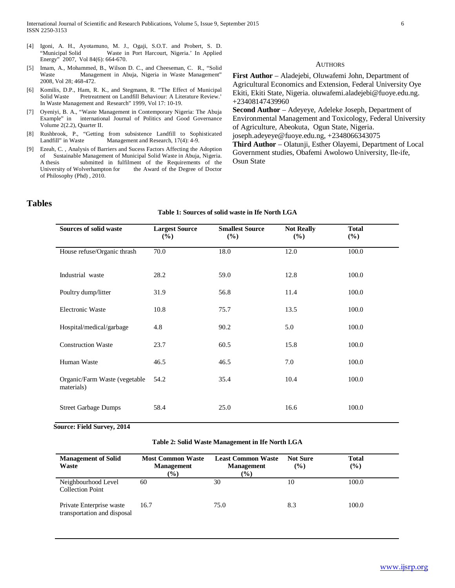- [4] Igoni, A. H., Ayotamuno, M. J., Ogaji, S.O.T. and Probert, S. D. "Municipal Solid Waste in Port Harcourt, Nigeria.' In Applied Energy" 2007, Vol 84(6): 664-670.
- [5] Imam, A., Mohammed, B., Wilson D. C., and Cheeseman, C. R., "Solid Waste Management in Abuja, Nigeria in Waste Management" 2008, Vol 28; 468-472.
- [6] Komilis, D.P., Ham, R. K., and Stegmann, R. "The Effect of Municipal Solid Waste Pretreatment on Landfill Behaviour: A Literature Review.' In Waste Management and Research" 1999, Vol 17: 10-19.
- [7] Oyeniyi, B. A., "Waste Management in Contemporary Nigeria: The Abuja Example" in international Journal of Politics and Good Governance Volume 2(2.2), Quarter II.
- [8] Rushbrook, P., "Getting from subsistence Landfill to Sophisticated Landfill" in Waste Management and Research, 17(4): 4-9.
- [9] Ezeah, C. , Analysis of Barriers and Sucess Factors Affecting the Adoption of Sustainable Management of Municipal Solid Waste in Abuja, Nigeria. A thesis submitted in fulfilment of the Requirements of the University of Wolverhampton for the Award of the Degree of Doctor the Award of the Degree of Doctor of Philosophy (Phd) , 2010.

AUTHORS

**First Author** – Aladejebi, Oluwafemi John, Department of Agricultural Economics and Extension, Federal University Oye Ekiti, Ekiti State, Nigeria. oluwafemi.aladejebi@fuoye.edu.ng. +23408147439960

**Second Author** – Adeyeye, Adeleke Joseph, Department of Environmental Management and Toxicology, Federal University of Agriculture, Abeokuta, Ogun State, Nigeria. joseph.adeyeye@fuoye.edu.ng, +2348066343075

**Third Author** – Olatunji, Esther Olayemi, Department of Local Government studies, Obafemi Awolowo University, Ile-ife, Osun State

# **Tables**

| Sources of solid waste                      | <b>Largest Source</b><br>$(\%)$ | <b>Smallest Source</b><br>(%) | <b>Not Really</b><br>(%) | <b>Total</b><br>(%) |
|---------------------------------------------|---------------------------------|-------------------------------|--------------------------|---------------------|
| House refuse/Organic thrash                 | 70.0                            | 18.0                          | 12.0                     | 100.0               |
| Industrial waste                            | 28.2                            | 59.0                          | 12.8                     | 100.0               |
| Poultry dump/litter                         | 31.9                            | 56.8                          | 11.4                     | 100.0               |
| <b>Electronic Waste</b>                     | 10.8                            | 75.7                          | 13.5                     | 100.0               |
| Hospital/medical/garbage                    | 4.8                             | 90.2                          | 5.0                      | 100.0               |
| <b>Construction Waste</b>                   | 23.7                            | 60.5                          | 15.8                     | 100.0               |
| Human Waste                                 | 46.5                            | 46.5                          | 7.0                      | 100.0               |
| Organic/Farm Waste (vegetable<br>materials) | 54.2                            | 35.4                          | 10.4                     | 100.0               |
| <b>Street Garbage Dumps</b>                 | 58.4                            | 25.0                          | 16.6                     | 100.0               |

#### **Table 1: Sources of solid waste in Ife North LGA**

**Source: Field Survey, 2014**

#### **Table 2: Solid Waste Management in Ife North LGA**

| <b>Management of Solid</b><br>Waste                     | <b>Most Common Waste</b><br><b>Management</b><br>$(\%)$ | <b>Least Common Waste</b><br><b>Management</b><br>$(\%)$ | <b>Not Sure</b><br>(%) | Total<br>$\frac{1}{2}$ |
|---------------------------------------------------------|---------------------------------------------------------|----------------------------------------------------------|------------------------|------------------------|
| Neighbourhood Level<br><b>Collection Point</b>          | 60                                                      | 30                                                       | 10                     | 100.0                  |
| Private Enterprise waste<br>transportation and disposal | 16.7                                                    | 75.0                                                     | 8.3                    | 100.0                  |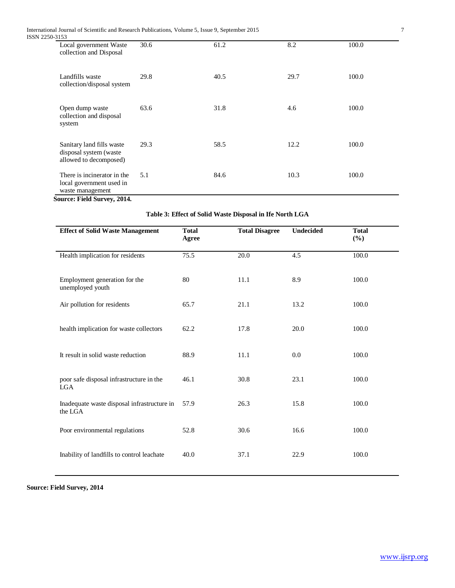| ISSN 2250-3153 |                                                                               |      |      |      |       |
|----------------|-------------------------------------------------------------------------------|------|------|------|-------|
|                | Local government Waste<br>collection and Disposal                             | 30.6 | 61.2 | 8.2  | 100.0 |
|                | Landfills waste<br>collection/disposal system                                 | 29.8 | 40.5 | 29.7 | 100.0 |
|                | Open dump waste<br>collection and disposal<br>system                          | 63.6 | 31.8 | 4.6  | 100.0 |
|                | Sanitary land fills waste<br>disposal system (waste<br>allowed to decomposed) | 29.3 | 58.5 | 12.2 | 100.0 |
|                | There is incinerator in the<br>local government used in<br>waste management   | 5.1  | 84.6 | 10.3 | 100.0 |

**Source: Field Survey, 2014.**

| <b>Effect of Solid Waste Management</b>                | <b>Total</b><br>Agree | <b>Total Disagree</b> | Undecided | <b>Total</b><br>$(\%)$ |
|--------------------------------------------------------|-----------------------|-----------------------|-----------|------------------------|
| Health implication for residents                       | 75.5                  | $\overline{20.0}$     | 4.5       | 100.0                  |
| Employment generation for the<br>unemployed youth      | 80                    | 11.1                  | 8.9       | 100.0                  |
| Air pollution for residents                            | 65.7                  | 21.1                  | 13.2      | 100.0                  |
| health implication for waste collectors                | 62.2                  | 17.8                  | 20.0      | 100.0                  |
| It result in solid waste reduction                     | 88.9                  | 11.1                  | 0.0       | 100.0                  |
| poor safe disposal infrastructure in the<br>LGA        | 46.1                  | 30.8                  | 23.1      | 100.0                  |
| Inadequate waste disposal infrastructure in<br>the LGA | 57.9                  | 26.3                  | 15.8      | 100.0                  |
| Poor environmental regulations                         | 52.8                  | 30.6                  | 16.6      | 100.0                  |
| Inability of landfills to control leachate             | 40.0                  | 37.1                  | 22.9      | 100.0                  |

**Source: Field Survey, 2014**